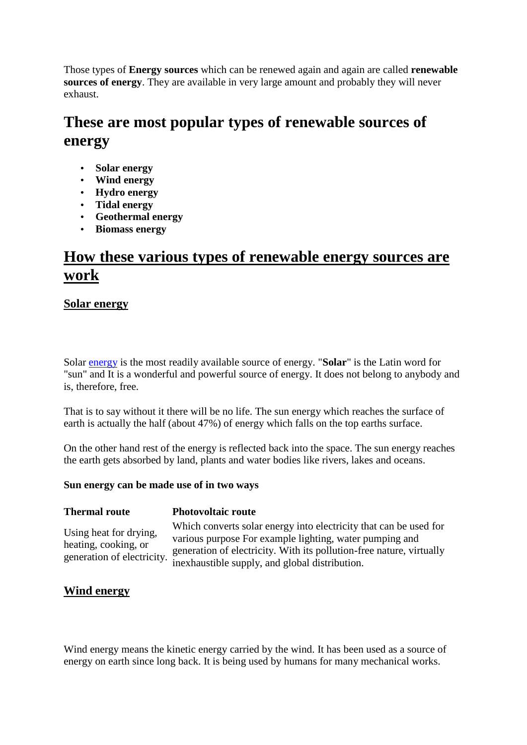Those types of **Energy sources** which can be renewed again and again are called **renewable sources of energy**. They are available in very large amount and probably they will never exhaust.

# **These are most popular types of renewable sources of energy**

- **Solar energy**
- **Wind energy**
- **Hydro energy**
- **Tidal energy**
- **Geothermal energy**
- **Biomass energy**

# **How these various types of renewable energy sources are work**

## **Solar energy**

Solar energy is the most readily available source of energy. "**Solar**" is the Latin word for "sun" and It is a wonderful and powerful source of energy. It does not belong to anybody and is, therefore, free.

That is to say without it there will be no life. The sun energy which reaches the surface of earth is actually the half (about 47%) of energy which falls on the top earths surface.

On the other hand rest of the energy is reflected back into the space. The sun energy reaches the earth gets absorbed by land, plants and water bodies like rivers, lakes and oceans.

#### **Sun energy can be made use of in two ways**

#### **Thermal route Photovoltaic route**

Using heat for drying, heating, cooking, or generation of electricity.

Which converts solar energy into electricity that can be used for various purpose For example lighting, water pumping and generation of electricity. With its pollution-free nature, virtually inexhaustible supply, and global distribution.

## **Wind energy**

Wind energy means the kinetic energy carried by the wind. It has been used as a source of energy on earth since long back. It is being used by humans for many mechanical works.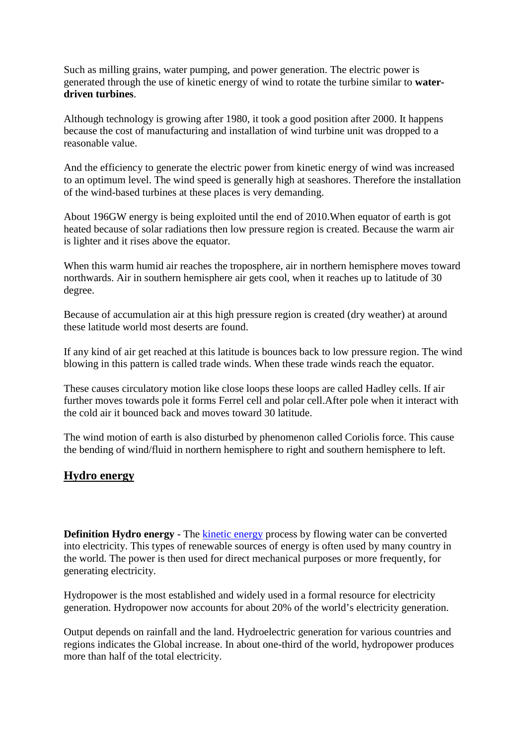Such as milling grains, water pumping, and power generation. The electric power is generated through the use of kinetic energy of wind to rotate the turbine similar to **water driven turbines**.

Although technology is growing after 1980, it took a good position after 2000. It happens because the cost of manufacturing and installation of wind turbine unit was dropped to a reasonable value.

And the efficiency to generate the electric power from kinetic energy of wind was increased to an optimum level. The wind speed is generally high at seashores. Therefore the installation of the wind-based turbines at these places is very demanding.

About 196GW energy is being exploited until the end of 2010.When equator of earth is got heated because of solar radiations then low pressure region is created. Because the warm air is lighter and it rises above the equator.

When this warm humid air reaches the troposphere, air in northern hemisphere moves toward northwards. Air in southern hemisphere air gets cool, when it reaches up to latitude of 30 degree.

Because of accumulation air at this high pressure region is created (dry weather) at around these latitude world most deserts are found.

If any kind of air get reached at this latitude is bounces back to low pressure region. The wind blowing in this pattern is called trade winds. When these trade winds reach the equator.

These causes circulatory motion like close loops these loops are called Hadley cells. If air further moves towards pole it forms Ferrel cell and polar cell.After pole when it interact with the cold air it bounced back and moves toward 30 latitude.

The wind motion of earth is also disturbed by phenomenon called Coriolis force. This cause the bending of wind/fluid in northern hemisphere to right and southern hemisphere to left.

## **Hydro energy**

**Definition Hydro energy** - The kinetic energy process by flowing water can be converted into electricity. This types of renewable sources of energy is often used by many country in the world. The power is then used for direct mechanical purposes or more frequently, for generating electricity.

Hydropower is the most established and widely used in a formal resource for electricity generation. Hydropower now accounts for about 20% of the world's electricity generation.

Output depends on rainfall and the land. Hydroelectric generation for various countries and regions indicates the Global increase. In about one-third of the world, hydropower produces more than half of the total electricity.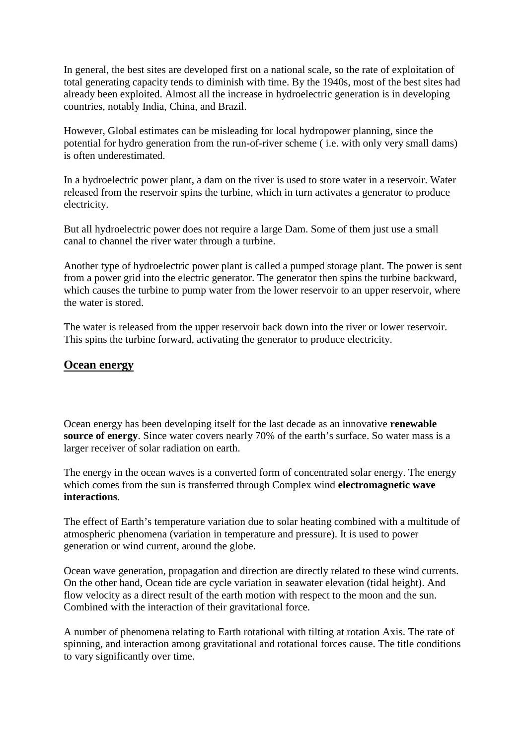In general, the best sites are developed first on a national scale, so the rate of exploitation of total generating capacity tends to diminish with time. By the 1940s, most of the best sites had already been exploited. Almost all the increase in hydroelectric generation is in developing countries, notably India, China, and Brazil.

However, Global estimates can be misleading for local hydropower planning, since the potential for hydro generation from the run-of-river scheme ( i.e. with only very small dams) is often underestimated.

In a hydroelectric power plant, a dam on the river is used to store water in a reservoir. Water released from the reservoir spins the turbine, which in turn activates a generator to produce electricity.

But all hydroelectric power does not require a large Dam. Some of them just use a small canal to channel the river water through a turbine.

Another type of hydroelectric power plant is called a pumped storage plant. The power is sent from a power grid into the electric generator. The generator then spins the turbine backward, which causes the turbine to pump water from the lower reservoir to an upper reservoir, where the water is stored.

The water is released from the upper reservoir back down into the river or lower reservoir. This spins the turbine forward, activating the generator to produce electricity.

### **Ocean energy**

Ocean energy has been developing itself for the last decade as an innovative **renewable source of energy**. Since water covers nearly 70% of the earth's surface. So water mass is a larger receiver of solar radiation on earth.

The energy in the ocean waves is a converted form of concentrated solar energy. The energy which comes from the sun is transferred through Complex wind **electromagnetic wave interactions**.

The effect of Earth's temperature variation due to solar heating combined with a multitude of atmospheric phenomena (variation in temperature and pressure). It is used to power generation or wind current, around the globe.

Ocean wave generation, propagation and direction are directly related to these wind currents. On the other hand, Ocean tide are cycle variation in seawater elevation (tidal height). And flow velocity as a direct result of the earth motion with respect to the moon and the sun. Combined with the interaction of their gravitational force.

A number of phenomena relating to Earth rotational with tilting at rotation Axis. The rate of spinning, and interaction among gravitational and rotational forces cause. The title conditions to vary significantly over time.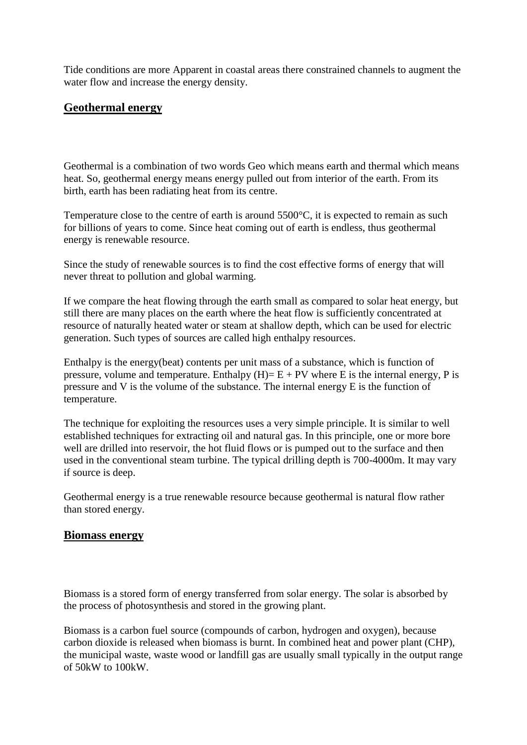Tide conditions are more Apparent in coastal areas there constrained channels to augment the water flow and increase the energy density.

# **Geothermal energy**

Geothermal is a combination of two words Geo which means earth and thermal which means heat. So, geothermal energy means energy pulled out from interior of the earth. From its birth, earth has been radiating heat from its centre.

Temperature close to the centre of earth is around  $5500^{\circ}$ C, it is expected to remain as such for billions of years to come. Since heat coming out of earth is endless, thus geothermal energy is renewable resource.

Since the study of renewable sources is to find the cost effective forms of energy that will never threat to pollution and global warming.

If we compare the heat flowing through the earth small as compared to solar heat energy, but still there are many places on the earth where the heat flow is sufficiently concentrated at resource of naturally heated water or steam at shallow depth, which can be used for electric generation. Such types of sources are called high enthalpy resources.

Enthalpy is the energy(beat) contents per unit mass of a substance, which is function of pressure, volume and temperature. Enthalpy  $(H)= E + PV$  where E is the internal energy, P is pressure and V is the volume of the substance. The internal energy E is the function of temperature.

The technique for exploiting the resources uses a very simple principle. It is similar to well established techniques for extracting oil and natural gas. In this principle, one or more bore well are drilled into reservoir, the hot fluid flows or is pumped out to the surface and then used in the conventional steam turbine. The typical drilling depth is 700-4000m. It may vary if source is deep.

Geothermal energy is a true renewable resource because geothermal is natural flow rather than stored energy.

## **Biomass energy**

Biomass is a stored form of energy transferred from solar energy. The solar is absorbed by the process of photosynthesis and stored in the growing plant.

Biomass is a carbon fuel source (compounds of carbon, hydrogen and oxygen), because carbon dioxide is released when biomass is burnt. In combined heat and power plant (CHP), the municipal waste, waste wood or landfill gas are usually small typically in the output range of 50kW to 100kW.